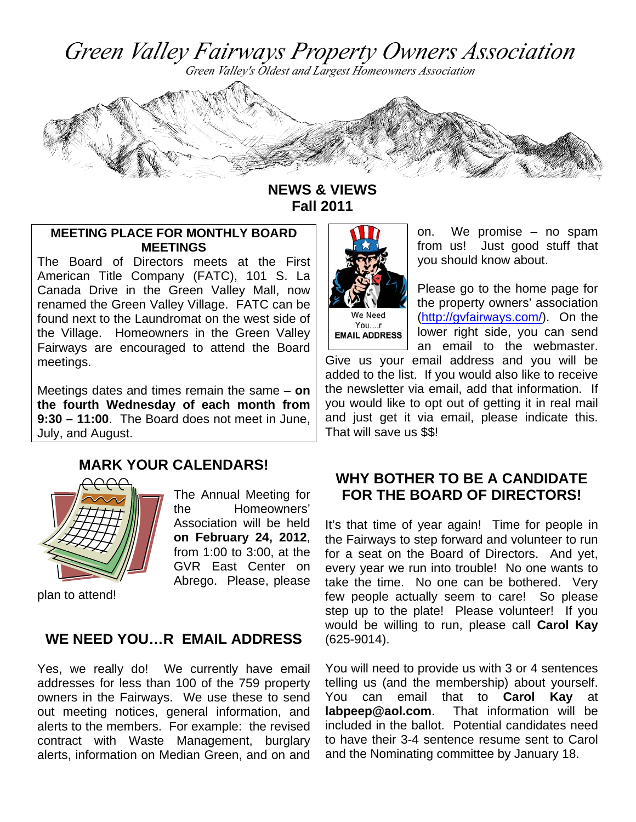Green Valley Fairways Property Owners Association

Green Valley's Oldest and Largest Homeowners Association



**NEWS & VIEWS Fall 2011** 

#### **MEETING PLACE FOR MONTHLY BOARD MEETINGS**

The Board of Directors meets at the First American Title Company (FATC), 101 S. La Canada Drive in the Green Valley Mall, now renamed the Green Valley Village. FATC can be found next to the Laundromat on the west side of the Village. Homeowners in the Green Valley Fairways are encouraged to attend the Board meetings.

Meetings dates and times remain the same – **on the fourth Wednesday of each month from 9:30 – 11:00**. The Board does not meet in June, July, and August.

# **MARK YOUR CALENDARS!**



The Annual Meeting for the Homeowners' Association will be held **on February 24, 2012**, from 1:00 to 3:00, at the GVR East Center on Abrego. Please, please

plan to attend!

### **WE NEED YOU…R EMAIL ADDRESS**

Yes, we really do! We currently have email addresses for less than 100 of the 759 property owners in the Fairways. We use these to send out meeting notices, general information, and alerts to the members. For example: the revised contract with Waste Management, burglary alerts, information on Median Green, and on and



**EMAIL ADDRESS** 

on. We promise – no spam from us! Just good stuff that you should know about.

Please go to the home page for the property owners' association (http://gvfairways.com/). On the lower right side, you can send an email to the webmaster.

Give us your email address and you will be added to the list. If you would also like to receive the newsletter via email, add that information. If you would like to opt out of getting it in real mail and just get it via email, please indicate this. That will save us \$\$!

## **WHY BOTHER TO BE A CANDIDATE FOR THE BOARD OF DIRECTORS!**

It's that time of year again! Time for people in the Fairways to step forward and volunteer to run for a seat on the Board of Directors. And yet, every year we run into trouble! No one wants to take the time. No one can be bothered. Very few people actually seem to care! So please step up to the plate! Please volunteer! If you would be willing to run, please call **Carol Kay** (625-9014).

You will need to provide us with 3 or 4 sentences telling us (and the membership) about yourself. You can email that to **Carol Kay** at **labpeep@aol.com**. That information will be included in the ballot. Potential candidates need to have their 3-4 sentence resume sent to Carol and the Nominating committee by January 18.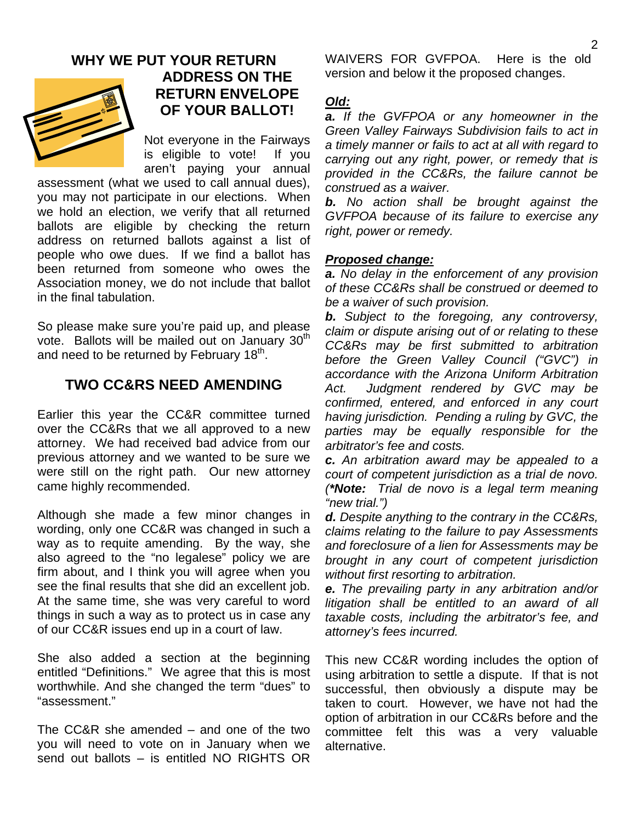### **WHY WE PUT YOUR RETURN ADDRESS ON THE RETURN ENVELOPE OF YOUR BALLOT!**

Not everyone in the Fairways is eligible to vote! If you aren't paying your annual

assessment (what we used to call annual dues), you may not participate in our elections. When we hold an election, we verify that all returned ballots are eligible by checking the return address on returned ballots against a list of people who owe dues. If we find a ballot has been returned from someone who owes the Association money, we do not include that ballot in the final tabulation.

So please make sure you're paid up, and please vote. Ballots will be mailed out on January  $30<sup>th</sup>$ and need to be returned by February  $18<sup>th</sup>$ .

## **TWO CC&RS NEED AMENDING**

Earlier this year the CC&R committee turned over the CC&Rs that we all approved to a new attorney. We had received bad advice from our previous attorney and we wanted to be sure we were still on the right path. Our new attorney came highly recommended.

Although she made a few minor changes in wording, only one CC&R was changed in such a way as to requite amending. By the way, she also agreed to the "no legalese" policy we are firm about, and I think you will agree when you see the final results that she did an excellent job. At the same time, she was very careful to word things in such a way as to protect us in case any of our CC&R issues end up in a court of law.

She also added a section at the beginning entitled "Definitions." We agree that this is most worthwhile. And she changed the term "dues" to "assessment."

The CC&R she amended – and one of the two you will need to vote on in January when we send out ballots – is entitled NO RIGHTS OR WAIVERS FOR GVFPOA. Here is the old version and below it the proposed changes.

### *Old:*

*a. If the GVFPOA or any homeowner in the Green Valley Fairways Subdivision fails to act in a timely manner or fails to act at all with regard to carrying out any right, power, or remedy that is provided in the CC&Rs, the failure cannot be construed as a waiver.* 

*b. No action shall be brought against the GVFPOA because of its failure to exercise any right, power or remedy.* 

#### *Proposed change:*

*a. No delay in the enforcement of any provision of these CC&Rs shall be construed or deemed to be a waiver of such provision.* 

*b. Subject to the foregoing, any controversy, claim or dispute arising out of or relating to these CC&Rs may be first submitted to arbitration before the Green Valley Council ("GVC") in accordance with the Arizona Uniform Arbitration Act. Judgment rendered by GVC may be confirmed, entered, and enforced in any court having jurisdiction. Pending a ruling by GVC, the parties may be equally responsible for the arbitrator's fee and costs.* 

*c. An arbitration award may be appealed to a court of competent jurisdiction as a trial de novo. (\*Note: Trial de novo is a legal term meaning "new trial.")* 

*d. Despite anything to the contrary in the CC&Rs, claims relating to the failure to pay Assessments and foreclosure of a lien for Assessments may be brought in any court of competent jurisdiction without first resorting to arbitration.* 

*e. The prevailing party in any arbitration and/or litigation shall be entitled to an award of all taxable costs, including the arbitrator's fee, and attorney's fees incurred.* 

This new CC&R wording includes the option of using arbitration to settle a dispute. If that is not successful, then obviously a dispute may be taken to court. However, we have not had the option of arbitration in our CC&Rs before and the committee felt this was a very valuable alternative.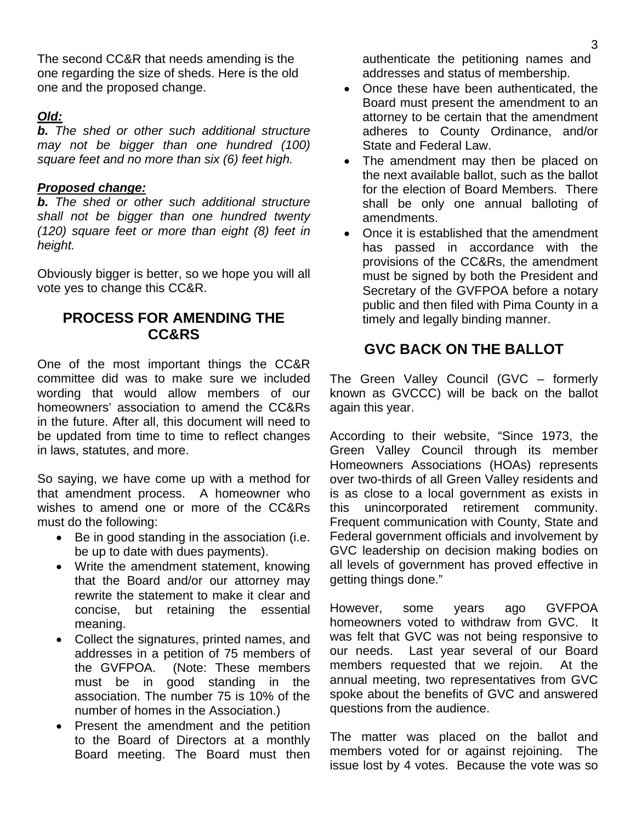The second CC&R that needs amending is the one regarding the size of sheds. Here is the old one and the proposed change.

### *Old:*

*b. The shed or other such additional structure may not be bigger than one hundred (100) square feet and no more than six (6) feet high.* 

#### *Proposed change:*

*b. The shed or other such additional structure shall not be bigger than one hundred twenty (120) square feet or more than eight (8) feet in height.* 

Obviously bigger is better, so we hope you will all vote yes to change this CC&R.

## **PROCESS FOR AMENDING THE CC&RS**

One of the most important things the CC&R committee did was to make sure we included wording that would allow members of our homeowners' association to amend the CC&Rs in the future. After all, this document will need to be updated from time to time to reflect changes in laws, statutes, and more.

So saying, we have come up with a method for that amendment process. A homeowner who wishes to amend one or more of the CC&Rs must do the following:

- Be in good standing in the association (i.e. be up to date with dues payments).
- Write the amendment statement, knowing that the Board and/or our attorney may rewrite the statement to make it clear and concise, but retaining the essential meaning.
- Collect the signatures, printed names, and addresses in a petition of 75 members of the GVFPOA. (Note: These members must be in good standing in the association. The number 75 is 10% of the number of homes in the Association.)
- Present the amendment and the petition to the Board of Directors at a monthly Board meeting. The Board must then

authenticate the petitioning names and addresses and status of membership.

- Once these have been authenticated, the Board must present the amendment to an attorney to be certain that the amendment adheres to County Ordinance, and/or State and Federal Law.
- The amendment may then be placed on the next available ballot, such as the ballot for the election of Board Members. There shall be only one annual balloting of amendments.
- Once it is established that the amendment has passed in accordance with the provisions of the CC&Rs, the amendment must be signed by both the President and Secretary of the GVFPOA before a notary public and then filed with Pima County in a timely and legally binding manner.

# **GVC BACK ON THE BALLOT**

The Green Valley Council (GVC – formerly known as GVCCC) will be back on the ballot again this year.

According to their website, "Since 1973, the Green Valley Council through its member Homeowners Associations (HOAs) represents over two-thirds of all Green Valley residents and is as close to a local government as exists in this unincorporated retirement community. Frequent communication with County, State and Federal government officials and involvement by GVC leadership on decision making bodies on all levels of government has proved effective in getting things done."

However, some years ago GVFPOA homeowners voted to withdraw from GVC. It was felt that GVC was not being responsive to our needs. Last year several of our Board members requested that we rejoin. At the annual meeting, two representatives from GVC spoke about the benefits of GVC and answered questions from the audience.

The matter was placed on the ballot and members voted for or against rejoining. The issue lost by 4 votes. Because the vote was so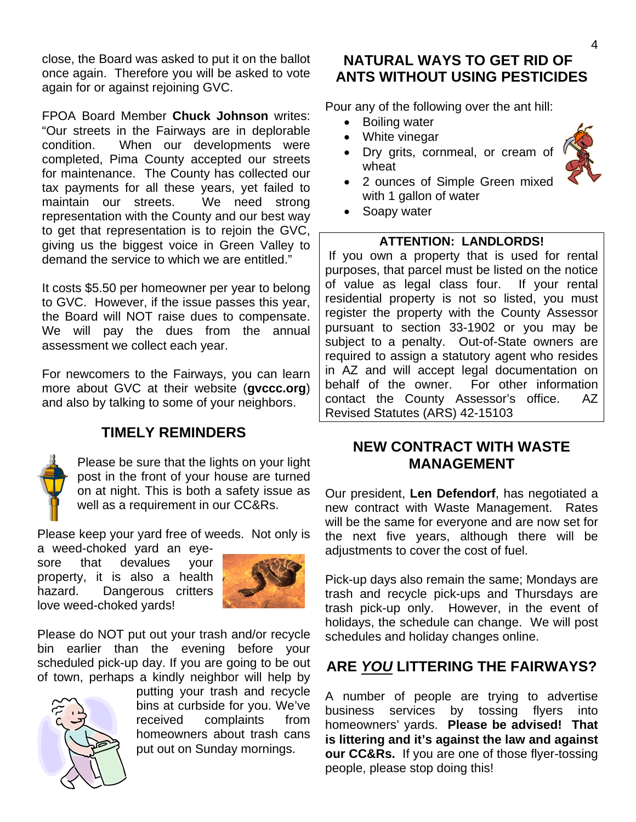close, the Board was asked to put it on the ballot once again. Therefore you will be asked to vote again for or against rejoining GVC.

FPOA Board Member **Chuck Johnson** writes: "Our streets in the Fairways are in deplorable condition. When our developments were completed, Pima County accepted our streets for maintenance. The County has collected our tax payments for all these years, yet failed to maintain our streets. We need strong representation with the County and our best way to get that representation is to rejoin the GVC, giving us the biggest voice in Green Valley to demand the service to which we are entitled."

It costs \$5.50 per homeowner per year to belong to GVC. However, if the issue passes this year, the Board will NOT raise dues to compensate. We will pay the dues from the annual assessment we collect each year.

For newcomers to the Fairways, you can learn more about GVC at their website (**gvccc.org**) and also by talking to some of your neighbors.

# **TIMELY REMINDERS**



Please be sure that the lights on your light post in the front of your house are turned on at night. This is both a safety issue as well as a requirement in our CC&Rs.

Please keep your yard free of weeds. Not only is

a weed-choked yard an eyesore that devalues your property, it is also a health hazard. Dangerous critters love weed-choked yards!



Please do NOT put out your trash and/or recycle bin earlier than the evening before your scheduled pick-up day. If you are going to be out of town, perhaps a kindly neighbor will help by



putting your trash and recycle bins at curbside for you. We've received complaints from homeowners about trash cans put out on Sunday mornings.

### **NATURAL WAYS TO GET RID OF ANTS WITHOUT USING PESTICIDES**

Pour any of the following over the ant hill:

- Boiling water
- White vinegar
- Dry grits, cornmeal, or cream of wheat



- 2 ounces of Simple Green mixed with 1 gallon of water
- Soapy water

#### **ATTENTION: LANDLORDS!**

If you own a property that is used for rental purposes, that parcel must be listed on the notice of value as legal class four. If your rental residential property is not so listed, you must register the property with the County Assessor pursuant to section 33-1902 or you may be subject to a penalty. Out-of-State owners are required to assign a statutory agent who resides in AZ and will accept legal documentation on behalf of the owner. For other information contact the County Assessor's office. AZ Revised Statutes (ARS) 42-15103

### **NEW CONTRACT WITH WASTE MANAGEMENT**

Our president, **Len Defendorf**, has negotiated a new contract with Waste Management. Rates will be the same for everyone and are now set for the next five years, although there will be adjustments to cover the cost of fuel.

Pick-up days also remain the same; Mondays are trash and recycle pick-ups and Thursdays are trash pick-up only. However, in the event of holidays, the schedule can change. We will post schedules and holiday changes online.

# **ARE** *YOU* **LITTERING THE FAIRWAYS?**

A number of people are trying to advertise business services by tossing flyers into homeowners' yards. **Please be advised! That is littering and it's against the law and against our CC&Rs.** If you are one of those flyer-tossing people, please stop doing this!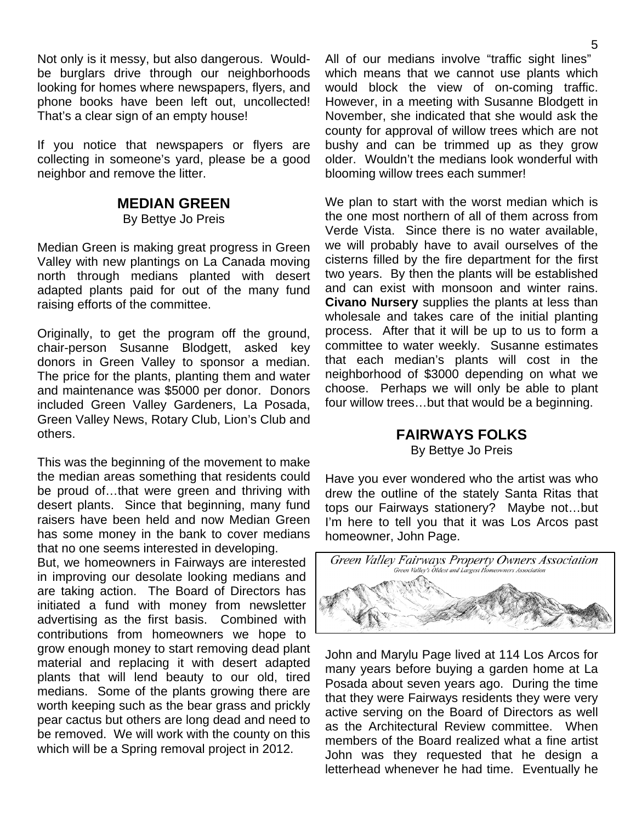Not only is it messy, but also dangerous. Wouldbe burglars drive through our neighborhoods looking for homes where newspapers, flyers, and phone books have been left out, uncollected! That's a clear sign of an empty house!

If you notice that newspapers or flyers are collecting in someone's yard, please be a good neighbor and remove the litter.

#### **MEDIAN GREEN**

By Bettye Jo Preis

Median Green is making great progress in Green Valley with new plantings on La Canada moving north through medians planted with desert adapted plants paid for out of the many fund raising efforts of the committee.

Originally, to get the program off the ground, chair-person Susanne Blodgett, asked key donors in Green Valley to sponsor a median. The price for the plants, planting them and water and maintenance was \$5000 per donor. Donors included Green Valley Gardeners, La Posada, Green Valley News, Rotary Club, Lion's Club and others.

This was the beginning of the movement to make the median areas something that residents could be proud of…that were green and thriving with desert plants. Since that beginning, many fund raisers have been held and now Median Green has some money in the bank to cover medians that no one seems interested in developing.

But, we homeowners in Fairways are interested in improving our desolate looking medians and are taking action. The Board of Directors has initiated a fund with money from newsletter advertising as the first basis. Combined with contributions from homeowners we hope to grow enough money to start removing dead plant material and replacing it with desert adapted plants that will lend beauty to our old, tired medians. Some of the plants growing there are worth keeping such as the bear grass and prickly pear cactus but others are long dead and need to be removed. We will work with the county on this which will be a Spring removal project in 2012.

All of our medians involve "traffic sight lines" which means that we cannot use plants which would block the view of on-coming traffic. However, in a meeting with Susanne Blodgett in November, she indicated that she would ask the county for approval of willow trees which are not bushy and can be trimmed up as they grow older. Wouldn't the medians look wonderful with blooming willow trees each summer!

We plan to start with the worst median which is the one most northern of all of them across from Verde Vista. Since there is no water available, we will probably have to avail ourselves of the cisterns filled by the fire department for the first two years. By then the plants will be established and can exist with monsoon and winter rains. **Civano Nursery** supplies the plants at less than wholesale and takes care of the initial planting process. After that it will be up to us to form a committee to water weekly. Susanne estimates that each median's plants will cost in the neighborhood of \$3000 depending on what we choose. Perhaps we will only be able to plant four willow trees…but that would be a beginning.

# **FAIRWAYS FOLKS**

By Bettye Jo Preis

Have you ever wondered who the artist was who drew the outline of the stately Santa Ritas that tops our Fairways stationery? Maybe not…but I'm here to tell you that it was Los Arcos past homeowner, John Page.



John and Marylu Page lived at 114 Los Arcos for many years before buying a garden home at La Posada about seven years ago. During the time that they were Fairways residents they were very active serving on the Board of Directors as well as the Architectural Review committee. When members of the Board realized what a fine artist John was they requested that he design a letterhead whenever he had time. Eventually he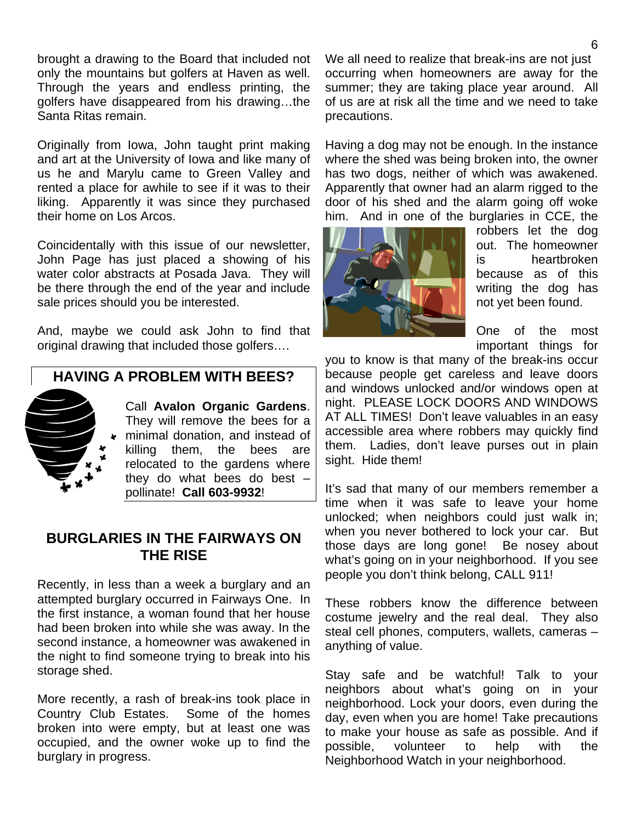brought a drawing to the Board that included not only the mountains but golfers at Haven as well. Through the years and endless printing, the golfers have disappeared from his drawing…the Santa Ritas remain.

Originally from Iowa, John taught print making and art at the University of Iowa and like many of us he and Marylu came to Green Valley and rented a place for awhile to see if it was to their liking. Apparently it was since they purchased their home on Los Arcos.

Coincidentally with this issue of our newsletter, John Page has just placed a showing of his water color abstracts at Posada Java. They will be there through the end of the year and include sale prices should you be interested.

And, maybe we could ask John to find that original drawing that included those golfers….

# **HAVING A PROBLEM WITH BEES?**



Call **Avalon Organic Gardens**. They will remove the bees for a minimal donation, and instead of killing them, the bees are relocated to the gardens where they do what bees do best – pollinate! **Call 603-9932**!

## **BURGLARIES IN THE FAIRWAYS ON THE RISE**

Recently, in less than a week a burglary and an attempted burglary occurred in Fairways One. In the first instance, a woman found that her house had been broken into while she was away. In the second instance, a homeowner was awakened in the night to find someone trying to break into his storage shed.

More recently, a rash of break-ins took place in Country Club Estates. Some of the homes broken into were empty, but at least one was occupied, and the owner woke up to find the burglary in progress.

We all need to realize that break-ins are not just occurring when homeowners are away for the summer; they are taking place year around. All of us are at risk all the time and we need to take precautions.

Having a dog may not be enough. In the instance where the shed was being broken into, the owner has two dogs, neither of which was awakened. Apparently that owner had an alarm rigged to the door of his shed and the alarm going off woke him. And in one of the burglaries in CCE, the



robbers let the dog out. The homeowner is heartbroken because as of this writing the dog has not yet been found.

One of the most important things for

you to know is that many of the break-ins occur because people get careless and leave doors and windows unlocked and/or windows open at night. PLEASE LOCK DOORS AND WINDOWS AT ALL TIMES! Don't leave valuables in an easy accessible area where robbers may quickly find them. Ladies, don't leave purses out in plain sight. Hide them!

It's sad that many of our members remember a time when it was safe to leave your home unlocked; when neighbors could just walk in; when you never bothered to lock your car. But those days are long gone! Be nosey about what's going on in your neighborhood. If you see people you don't think belong, CALL 911!

These robbers know the difference between costume jewelry and the real deal. They also steal cell phones, computers, wallets, cameras – anything of value.

Stay safe and be watchful! Talk to your neighbors about what's going on in your neighborhood. Lock your doors, even during the day, even when you are home! Take precautions to make your house as safe as possible. And if possible, volunteer to help with the Neighborhood Watch in your neighborhood.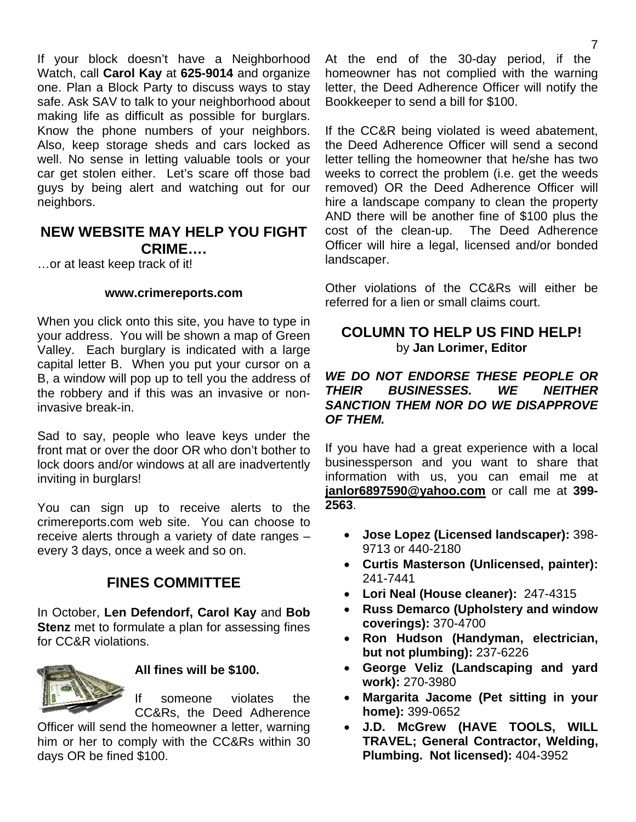If your block doesn't have a Neighborhood Watch, call **Carol Kay** at **625-9014** and organize one. Plan a Block Party to discuss ways to stay safe. Ask SAV to talk to your neighborhood about making life as difficult as possible for burglars. Know the phone numbers of your neighbors. Also, keep storage sheds and cars locked as well. No sense in letting valuable tools or your car get stolen either. Let's scare off those bad guys by being alert and watching out for our neighbors.

### **NEW WEBSITE MAY HELP YOU FIGHT CRIME….**

…or at least keep track of it!

#### **www.crimereports.com**

When you click onto this site, you have to type in your address. You will be shown a map of Green Valley. Each burglary is indicated with a large capital letter B. When you put your cursor on a B, a window will pop up to tell you the address of the robbery and if this was an invasive or noninvasive break-in.

Sad to say, people who leave keys under the front mat or over the door OR who don't bother to lock doors and/or windows at all are inadvertently inviting in burglars!

You can sign up to receive alerts to the crimereports.com web site. You can choose to receive alerts through a variety of date ranges – every 3 days, once a week and so on.

## **FINES COMMITTEE**

In October, **Len Defendorf, Carol Kay** and **Bob Stenz** met to formulate a plan for assessing fines for CC&R violations.



### **All fines will be \$100.**

If someone violates the CC&Rs, the Deed Adherence

Officer will send the homeowner a letter, warning him or her to comply with the CC&Rs within 30 days OR be fined \$100.

At the end of the 30-day period, if the homeowner has not complied with the warning letter, the Deed Adherence Officer will notify the Bookkeeper to send a bill for \$100.

If the CC&R being violated is weed abatement, the Deed Adherence Officer will send a second letter telling the homeowner that he/she has two weeks to correct the problem (i.e. get the weeds removed) OR the Deed Adherence Officer will hire a landscape company to clean the property AND there will be another fine of \$100 plus the cost of the clean-up. The Deed Adherence Officer will hire a legal, licensed and/or bonded landscaper.

Other violations of the CC&Rs will either be referred for a lien or small claims court.

### **COLUMN TO HELP US FIND HELP!**  by **Jan Lorimer, Editor**

#### *WE DO NOT ENDORSE THESE PEOPLE OR THEIR BUSINESSES. WE NEITHER SANCTION THEM NOR DO WE DISAPPROVE OF THEM.*

If you have had a great experience with a local businessperson and you want to share that information with us, you can email me at **janlor6897590@yahoo.com** or call me at **399- 2563**.

- **Jose Lopez (Licensed landscaper):** 398- 9713 or 440-2180
- **Curtis Masterson (Unlicensed, painter):**  241-7441
- **Lori Neal (House cleaner):** 247-4315
- **Russ Demarco (Upholstery and window coverings):** 370-4700
- **Ron Hudson (Handyman, electrician, but not plumbing):** 237-6226
- **George Veliz (Landscaping and yard work):** 270-3980
- **Margarita Jacome (Pet sitting in your home):** 399-0652
- **J.D. McGrew (HAVE TOOLS, WILL TRAVEL; General Contractor, Welding, Plumbing. Not licensed):** 404-3952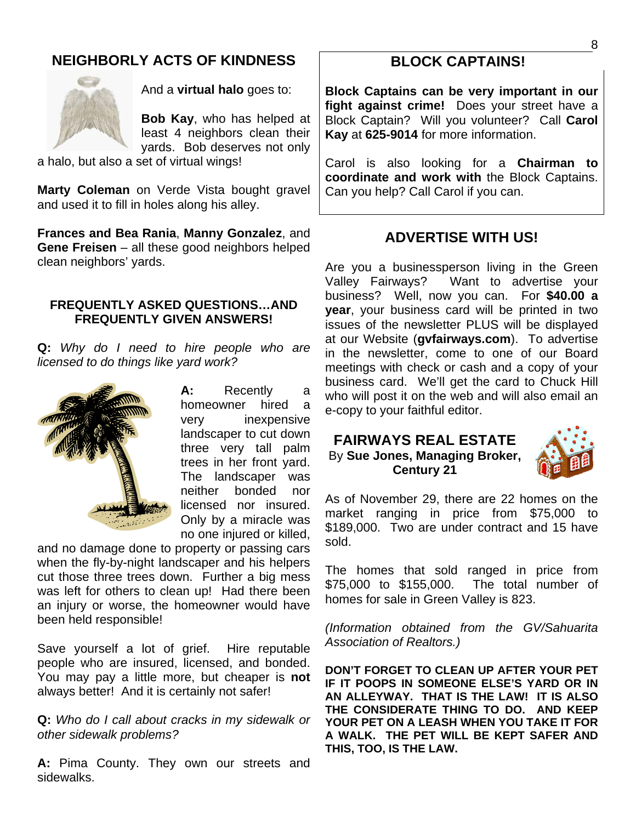# **NEIGHBORLY ACTS OF KINDNESS**



And a **virtual halo** goes to:

**Bob Kay**, who has helped at least 4 neighbors clean their yards. Bob deserves not only

a halo, but also a set of virtual wings!

**Marty Coleman** on Verde Vista bought gravel and used it to fill in holes along his alley.

**Frances and Bea Rania**, **Manny Gonzalez**, and **Gene Freisen** – all these good neighbors helped clean neighbors' yards.

#### **FREQUENTLY ASKED QUESTIONS…AND FREQUENTLY GIVEN ANSWERS!**

**Q:** *Why do I need to hire people who are licensed to do things like yard work?* 



**A:** Recently a homeowner hired a very inexpensive landscaper to cut down three very tall palm trees in her front yard. The landscaper was neither bonded nor licensed nor insured. Only by a miracle was no one injured or killed,

and no damage done to property or passing cars when the fly-by-night landscaper and his helpers cut those three trees down. Further a big mess was left for others to clean up! Had there been an injury or worse, the homeowner would have been held responsible!

Save yourself a lot of grief. Hire reputable people who are insured, licensed, and bonded. You may pay a little more, but cheaper is **not** always better! And it is certainly not safer!

**Q:** *Who do I call about cracks in my sidewalk or other sidewalk problems?* 

**A:** Pima County. They own our streets and sidewalks.

### **BLOCK CAPTAINS!**

**Block Captains can be very important in our fight against crime!** Does your street have a Block Captain? Will you volunteer? Call **Carol Kay** at **625-9014** for more information.

Carol is also looking for a **Chairman to coordinate and work with** the Block Captains. Can you help? Call Carol if you can.

### **ADVERTISE WITH US!**

Are you a businessperson living in the Green Valley Fairways? Want to advertise your business? Well, now you can. For **\$40.00 a year**, your business card will be printed in two issues of the newsletter PLUS will be displayed at our Website (**gvfairways.com**). To advertise in the newsletter, come to one of our Board meetings with check or cash and a copy of your business card. We'll get the card to Chuck Hill who will post it on the web and will also email an e-copy to your faithful editor.

### **FAIRWAYS REAL ESTATE**

By **Sue Jones, Managing Broker, Century 21** 



As of November 29, there are 22 homes on the market ranging in price from \$75,000 to \$189,000. Two are under contract and 15 have sold.

The homes that sold ranged in price from \$75,000 to \$155,000. The total number of homes for sale in Green Valley is 823.

*(Information obtained from the GV/Sahuarita Association of Realtors.)* 

**DON'T FORGET TO CLEAN UP AFTER YOUR PET IF IT POOPS IN SOMEONE ELSE'S YARD OR IN AN ALLEYWAY. THAT IS THE LAW! IT IS ALSO THE CONSIDERATE THING TO DO. AND KEEP YOUR PET ON A LEASH WHEN YOU TAKE IT FOR A WALK. THE PET WILL BE KEPT SAFER AND THIS, TOO, IS THE LAW.**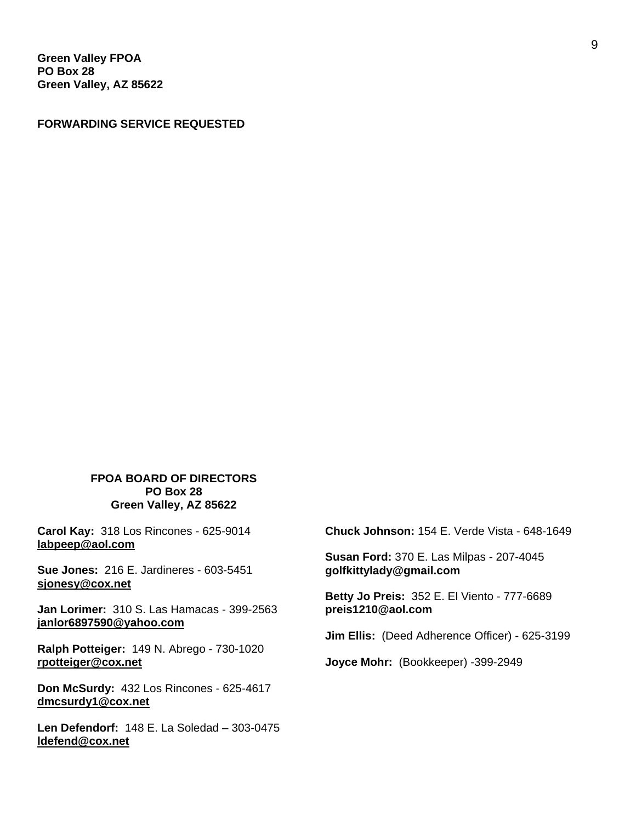**Green Valley FPOA PO Box 28 Green Valley, AZ 85622** 

**FORWARDING SERVICE REQUESTED** 

#### **FPOA BOARD OF DIRECTORS PO Box 28 Green Valley, AZ 85622**

**Carol Kay:** 318 Los Rincones - 625-9014 **labpeep@aol.com** 

**Sue Jones:** 216 E. Jardineres - 603-5451 **sjonesy@cox.net** 

**Jan Lorimer:** 310 S. Las Hamacas - 399-2563 **janlor6897590@yahoo.com** 

**Ralph Potteiger:** 149 N. Abrego - 730-1020 **rpotteiger@cox.net** 

**Don McSurdy:** 432 Los Rincones - 625-4617 **dmcsurdy1@cox.net** 

**Len Defendorf:** 148 E. La Soledad – 303-0475 **ldefend@cox.net** 

**Chuck Johnson:** 154 E. Verde Vista - 648-1649

**Susan Ford:** 370 E. Las Milpas - 207-4045 **golfkittylady@gmail.com** 

**Betty Jo Preis:** 352 E. El Viento - 777-6689 **preis1210@aol.com** 

**Jim Ellis:** (Deed Adherence Officer) - 625-3199

**Joyce Mohr:** (Bookkeeper) -399-2949